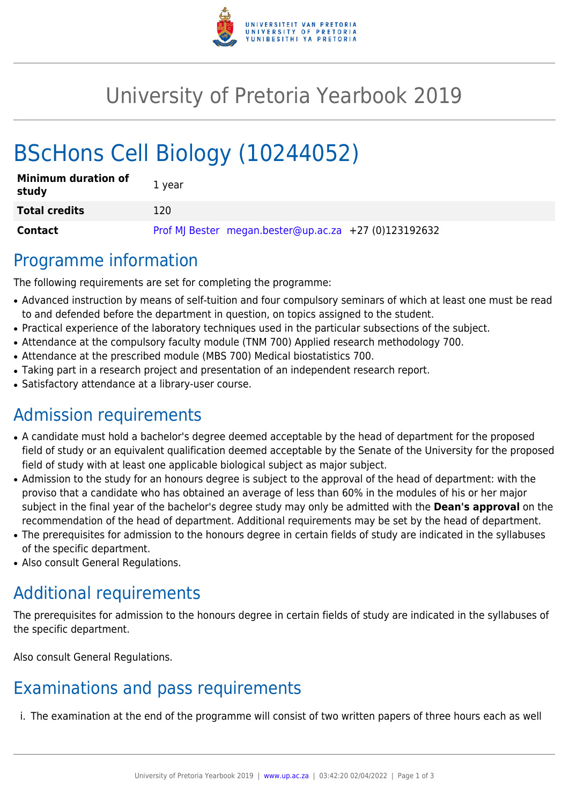

# University of Pretoria Yearbook 2019

# BScHons Cell Biology (10244052)

| <b>Minimum duration of</b><br>study | 1 year                                                |
|-------------------------------------|-------------------------------------------------------|
| <b>Total credits</b>                | 120                                                   |
| Contact                             | Prof MJ Bester megan.bester@up.ac.za +27 (0)123192632 |

### Programme information

The following requirements are set for completing the programme:

- Advanced instruction by means of self-tuition and four compulsory seminars of which at least one must be read to and defended before the department in question, on topics assigned to the student.
- Practical experience of the laboratory techniques used in the particular subsections of the subject.
- Attendance at the compulsory faculty module (TNM 700) Applied research methodology 700.
- Attendance at the prescribed module (MBS 700) Medical biostatistics 700.
- Taking part in a research project and presentation of an independent research report.
- Satisfactory attendance at a library-user course.

## Admission requirements

- A candidate must hold a bachelor's degree deemed acceptable by the head of department for the proposed field of study or an equivalent qualification deemed acceptable by the Senate of the University for the proposed field of study with at least one applicable biological subject as major subject.
- Admission to the study for an honours degree is subject to the approval of the head of department: with the proviso that a candidate who has obtained an average of less than 60% in the modules of his or her major subject in the final year of the bachelor's degree study may only be admitted with the **Dean's approval** on the recommendation of the head of department. Additional requirements may be set by the head of department.
- The prerequisites for admission to the honours degree in certain fields of study are indicated in the syllabuses of the specific department.
- Also consult General Regulations.

## Additional requirements

The prerequisites for admission to the honours degree in certain fields of study are indicated in the syllabuses of the specific department.

Also consult General Regulations.

## Examinations and pass requirements

i. The examination at the end of the programme will consist of two written papers of three hours each as well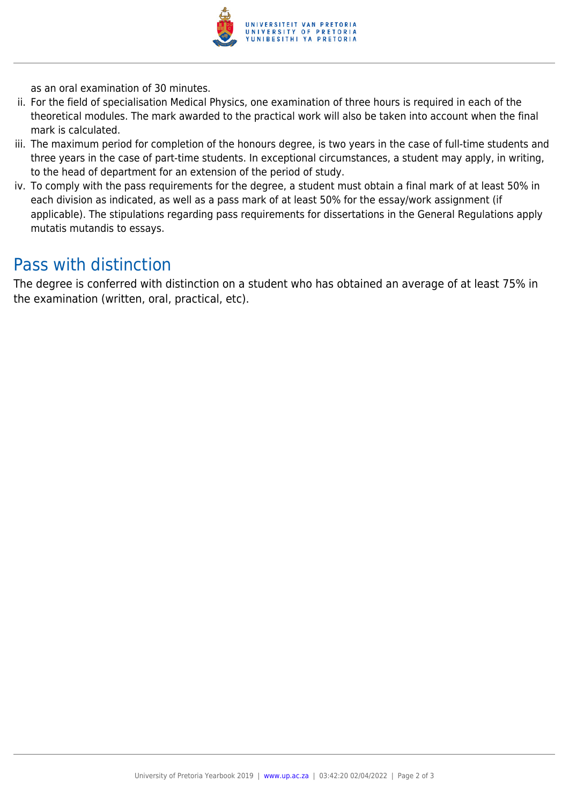

as an oral examination of 30 minutes.

- ii. For the field of specialisation Medical Physics, one examination of three hours is required in each of the theoretical modules. The mark awarded to the practical work will also be taken into account when the final mark is calculated.
- iii. The maximum period for completion of the honours degree, is two years in the case of full-time students and three years in the case of part-time students. In exceptional circumstances, a student may apply, in writing, to the head of department for an extension of the period of study.
- iv. To comply with the pass requirements for the degree, a student must obtain a final mark of at least 50% in each division as indicated, as well as a pass mark of at least 50% for the essay/work assignment (if applicable). The stipulations regarding pass requirements for dissertations in the General Regulations apply mutatis mutandis to essays.

### Pass with distinction

The degree is conferred with distinction on a student who has obtained an average of at least 75% in the examination (written, oral, practical, etc).